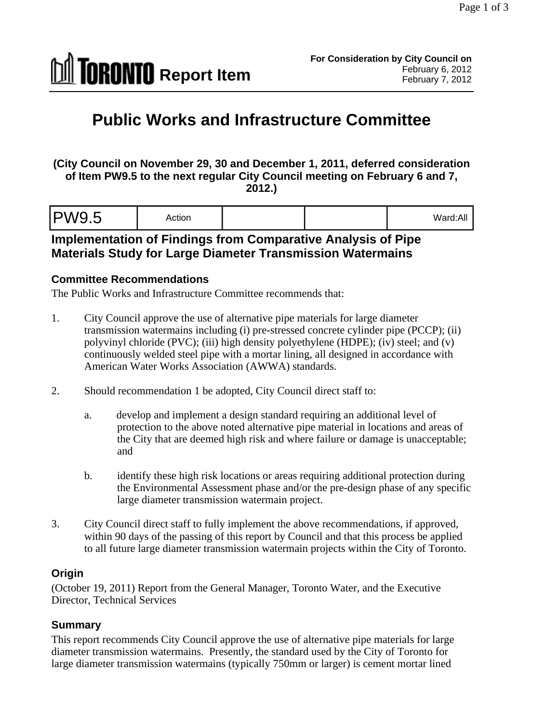

# **Public Works and Infrastructure Committee**

**(City Council on November 29, 30 and December 1, 2011, deferred consideration of Item PW9.5 to the next regular City Council meeting on February 6 and 7, 2012.)** 

|--|--|--|

## **Implementation of Findings from Comparative Analysis of Pipe Materials Study for Large Diameter Transmission Watermains**

#### **Committee Recommendations**

The Public Works and Infrastructure Committee recommends that:

- 1. City Council approve the use of alternative pipe materials for large diameter transmission watermains including (i) pre-stressed concrete cylinder pipe (PCCP); (ii) polyvinyl chloride (PVC); (iii) high density polyethylene (HDPE); (iv) steel; and (v) continuously welded steel pipe with a mortar lining, all designed in accordance with American Water Works Association (AWWA) standards.
- 2. Should recommendation 1 be adopted, City Council direct staff to:
	- a. develop and implement a design standard requiring an additional level of protection to the above noted alternative pipe material in locations and areas of the City that are deemed high risk and where failure or damage is unacceptable; and
	- b. identify these high risk locations or areas requiring additional protection during the Environmental Assessment phase and/or the pre-design phase of any specific large diameter transmission watermain project.
- 3. City Council direct staff to fully implement the above recommendations, if approved, within 90 days of the passing of this report by Council and that this process be applied to all future large diameter transmission watermain projects within the City of Toronto.

#### **Origin**

(October 19, 2011) Report from the General Manager, Toronto Water, and the Executive Director, Technical Services

#### **Summary**

This report recommends City Council approve the use of alternative pipe materials for large diameter transmission watermains. Presently, the standard used by the City of Toronto for large diameter transmission watermains (typically 750mm or larger) is cement mortar lined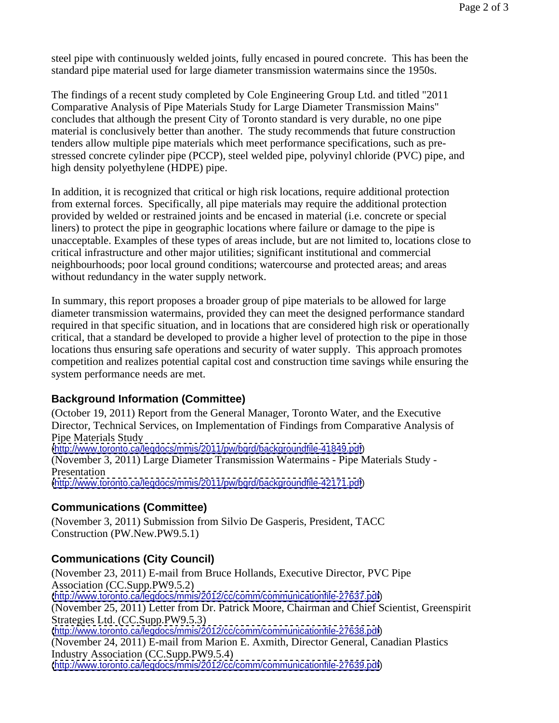steel pipe with continuously welded joints, fully encased in poured concrete. This has been the standard pipe material used for large diameter transmission watermains since the 1950s.

The findings of a recent study completed by Cole Engineering Group Ltd. and titled "2011 Comparative Analysis of Pipe Materials Study for Large Diameter Transmission Mains" concludes that although the present City of Toronto standard is very durable, no one pipe material is conclusively better than another. The study recommends that future construction tenders allow multiple pipe materials which meet performance specifications, such as pre stressed concrete cylinder pipe (PCCP), steel welded pipe, polyvinyl chloride (PVC) pipe, and high density polyethylene (HDPE) pipe.

In addition, it is recognized that critical or high risk locations, require additional protection from external forces. Specifically, all pipe materials may require the additional protection provided by welded or restrained joints and be encased in material (i.e. concrete or special liners) to protect the pipe in geographic locations where failure or damage to the pipe is unacceptable. Examples of these types of areas include, but are not limited to, locations close to critical infrastructure and other major utilities; significant institutional and commercial neighbourhoods; poor local ground conditions; watercourse and protected areas; and areas without redundancy in the water supply network.

In summary, this report proposes a broader group of pipe materials to be allowed for large diameter transmission watermains, provided they can meet the designed performance standard required in that specific situation, and in locations that are considered high risk or operationally critical, that a standard be developed to provide a higher level of protection to the pipe in those locations thus ensuring safe operations and security of water supply. This approach promotes competition and realizes potential capital cost and construction time savings while ensuring the system performance needs are met.

## **Background Information (Committee)**

(October 19, 2011) Report from the General Manager, Toronto Water, and the Executive Director, Technical Services, on Implementation of Findings from Comparative Analysis of Pipe Materials Study [\(http://www.toronto.ca/legdocs/mmis/2011/pw/bgrd/backgroundfile-41849.pdf](http://www.toronto.ca/legdocs/mmis/2011/pw/bgrd/backgroundfile-41849.pdf)) (November 3, 2011) Large Diameter Transmission Watermains - Pipe Materials Study - Presentation **Presentation** [\(http://www.toronto.ca/legdocs/mmis/2011/pw/bgrd/backgroundfile-42171.pdf](http://www.toronto.ca/legdocs/mmis/2011/pw/bgrd/backgroundfile-42171.pdf))

## **Communications (Committee)**

(November 3, 2011) Submission from Silvio De Gasperis, President, TACC Construction (PW.New.PW9.5.1)

# **Communications (City Council)**

(November 23, 2011) E-mail from Bruce Hollands, Executive Director, PVC Pipe Association (CC.Supp.PW9.5.2) [\(http://www.toronto.ca/legdocs/mmis/2012/cc/comm/communicationfile-27637.pdf](http://www.toronto.ca/legdocs/mmis/2012/cc/comm/communicationfile-27637.pdf)) (November 25, 2011) Letter from Dr. Patrick Moore, Chairman and Chief Scientist, Greenspirit Strategies Ltd. (CC.Supp.PW9.5.3) [\(http://www.toronto.ca/legdocs/mmis/2012/cc/comm/communicationfile-27638.pdf](http://www.toronto.ca/legdocs/mmis/2012/cc/comm/communicationfile-27638.pdf)) (November 24, 2011) E-mail from Marion E. Axmith, Director General, Canadian Plastics Industry Association (CC.Supp.PW9.5.4) [\(http://www.toronto.ca/legdocs/mmis/2012/cc/comm/communicationfile-27639.pdf](http://www.toronto.ca/legdocs/mmis/2012/cc/comm/communicationfile-27639.pdf))